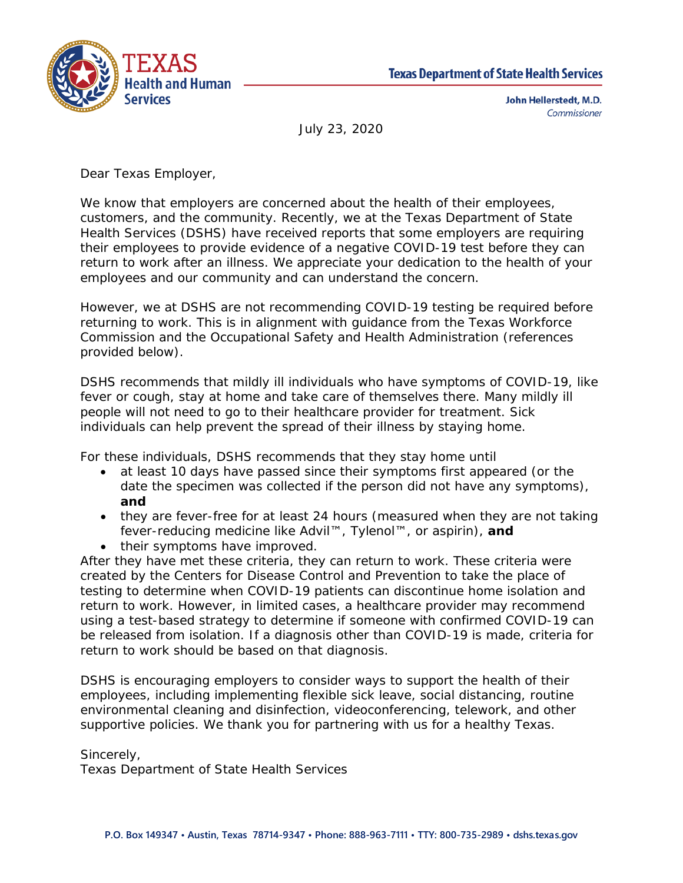



John Hellerstedt, M.D. Commissioner

July 23, 2020

Dear Texas Employer,

We know that employers are concerned about the health of their employees, customers, and the community. Recently, we at the Texas Department of State Health Services (DSHS) have received reports that some employers are requiring their employees to provide evidence of a negative COVID-19 test before they can return to work after an illness. We appreciate your dedication to the health of your employees and our community and can understand the concern.

However, we at DSHS are not recommending COVID-19 testing be required before returning to work. This is in alignment with guidance from the Texas Workforce Commission and the Occupational Safety and Health Administration (references provided below).

DSHS recommends that mildly ill individuals who have symptoms of COVID-19, like fever or cough, stay at home and take care of themselves there. Many mildly ill people will not need to go to their healthcare provider for treatment. Sick individuals can help prevent the spread of their illness by staying home.

For these individuals, DSHS recommends that they stay home until

- at least 10 days have passed since their symptoms first appeared (or the date the specimen was collected if the person did not have any symptoms), **and**
- they are fever-free for at least 24 hours (measured when they are not taking fever-reducing medicine like Advil™, Tylenol™, or aspirin), **and**
- their symptoms have improved.

After they have met these criteria, they can return to work. These criteria were created by the Centers for Disease Control and Prevention to take the place of testing to determine when COVID-19 patients can discontinue home isolation and return to work. However, in limited cases, a healthcare provider may recommend using a test-based strategy to determine if someone with confirmed COVID-19 can be released from isolation. If a diagnosis other than COVID-19 is made, criteria for return to work should be based on that diagnosis.

DSHS is encouraging employers to consider ways to support the health of their employees, including implementing flexible sick leave, social distancing, routine environmental cleaning and disinfection, videoconferencing, telework, and other supportive policies. We thank you for partnering with us for a healthy Texas.

Sincerely,

Texas Department of State Health Services